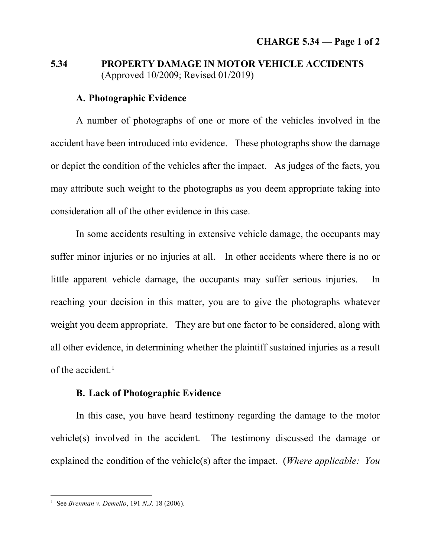## **5.34 PROPERTY DAMAGE IN MOTOR VEHICLE ACCIDENTS** (Approved 10/2009; Revised 01/2019)

## **A. Photographic Evidence**

A number of photographs of one or more of the vehicles involved in the accident have been introduced into evidence. These photographs show the damage or depict the condition of the vehicles after the impact. As judges of the facts, you may attribute such weight to the photographs as you deem appropriate taking into consideration all of the other evidence in this case.

In some accidents resulting in extensive vehicle damage, the occupants may suffer minor injuries or no injuries at all. In other accidents where there is no or little apparent vehicle damage, the occupants may suffer serious injuries. In reaching your decision in this matter, you are to give the photographs whatever weight you deem appropriate. They are but one factor to be considered, along with all other evidence, in determining whether the plaintiff sustained injuries as a result of the accident.<sup>1</sup>

## **B. Lack of Photographic Evidence**

In this case, you have heard testimony regarding the damage to the motor vehicle(s) involved in the accident. The testimony discussed the damage or explained the condition of the vehicle(s) after the impact. (*Where applicable: You* 

<span id="page-0-0"></span> <sup>1</sup> See *Brenman v. Demello*, 191 *N.J.* 18 (2006).